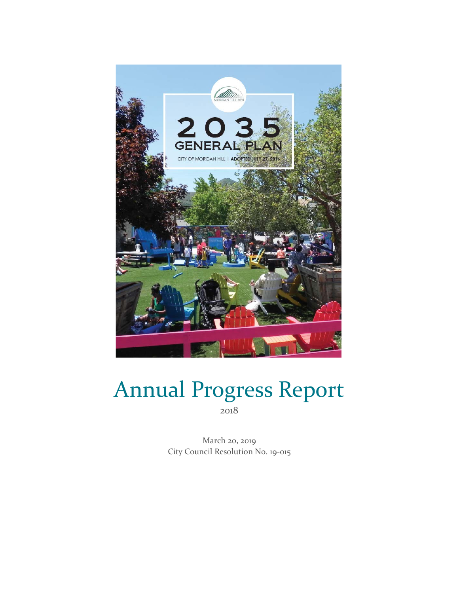

# Annual Progress Report 2018

March 20, 2019 City Council Resolution No. 19-015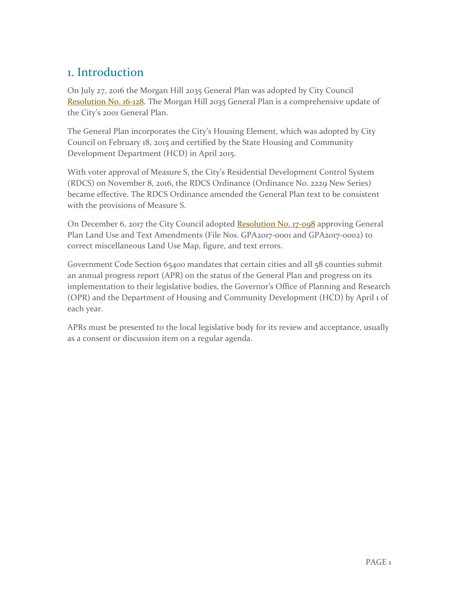# 1. Introduction

On July 27, 2016 the Morgan Hill 2035 General Plan was adopted by City Council [Resolution No. 16-128.](http://ca-morganhill2.civicplus.com/DocumentCenter/View/19482) The Morgan Hill 2035 General Plan is a comprehensive update of the City's 2001 General Plan.

The General Plan incorporates the City's Housing Element, which was adopted by City Council on February 18, 2015 and certified by the State Housing and Community Development Department (HCD) in April 2015.

With voter approval of Measure S, the City's Residential Development Control System (RDCS) on November 8, 2016, the RDCS Ordinance (Ordinance No. 2229 New Series) became effective. The RDCS Ordinance amended the General Plan text to be consistent with the provisions of Measure S.

On December 6, 2017 the City Council adopted [Resolution No. 17-098](https://www.morgan-hill.ca.gov/DocumentCenter/View/22471) approving General Plan Land Use and Text Amendments (File Nos. GPA2017-0001 and GPA2017-0002) to correct miscellaneous Land Use Map, figure, and text errors.

Government Code Section 65400 mandates that certain cities and all 58 counties submit an annual progress report (APR) on the status of the General Plan and progress on its implementation to their legislative bodies, the Governor's Office of Planning and Research (OPR) and the Department of Housing and Community Development (HCD) by April 1 of each year.

APRs must be presented to the local legislative body for its review and acceptance, usually as a consent or discussion item on a regular agenda.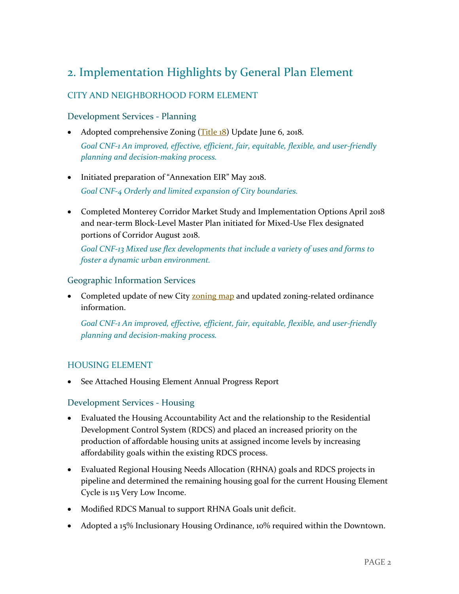# 2. Implementation Highlights by General Plan Element

# CITY AND NEIGHBORHOOD FORM ELEMENT

#### Development Services - Planning

- Adopted comprehensive Zoning  $(Title 18)$  Update June 6, 2018. *Goal CNF-1 An improved, effective, efficient, fair, equitable, flexible, and user-friendly planning and decision-making process.*
- Initiated preparation of "Annexation EIR" May 2018. *Goal CNF-4 Orderly and limited expansion of City boundaries.*
- Completed Monterey Corridor Market Study and Implementation Options April 2018 and near-term Block-Level Master Plan initiated for Mixed-Use Flex designated portions of Corridor August 2018.

*Goal CNF-13 Mixed use flex developments that include a variety of uses and forms to foster a dynamic urban environment.*

#### Geographic Information Services

• Completed update of new City **zoning map** and updated zoning-related ordinance information.

*Goal CNF-1 An improved, effective, efficient, fair, equitable, flexible, and user-friendly planning and decision-making process.*

#### HOUSING ELEMENT

• See Attached Housing Element Annual Progress Report

#### Development Services - Housing

- Evaluated the Housing Accountability Act and the relationship to the Residential Development Control System (RDCS) and placed an increased priority on the production of affordable housing units at assigned income levels by increasing affordability goals within the existing RDCS process.
- Evaluated Regional Housing Needs Allocation (RHNA) goals and RDCS projects in pipeline and determined the remaining housing goal for the current Housing Element Cycle is 115 Very Low Income.
- Modified RDCS Manual to support RHNA Goals unit deficit.
- Adopted a 15% Inclusionary Housing Ordinance, 10% required within the Downtown.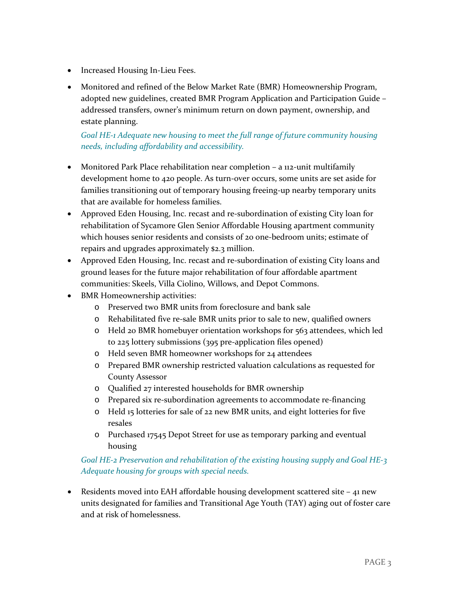- Increased Housing In-Lieu Fees.
- Monitored and refined of the Below Market Rate (BMR) Homeownership Program, adopted new guidelines, created BMR Program Application and Participation Guide – addressed transfers, owner's minimum return on down payment, ownership, and estate planning.

#### *Goal HE-1 Adequate new housing to meet the full range of future community housing needs, including affordability and accessibility.*

- Monitored Park Place rehabilitation near completion a 112-unit multifamily development home to 420 people. As turn-over occurs, some units are set aside for families transitioning out of temporary housing freeing-up nearby temporary units that are available for homeless families.
- Approved Eden Housing, Inc. recast and re-subordination of existing City loan for rehabilitation of Sycamore Glen Senior Affordable Housing apartment community which houses senior residents and consists of 20 one-bedroom units; estimate of repairs and upgrades approximately \$2.3 million.
- Approved Eden Housing, Inc. recast and re-subordination of existing City loans and ground leases for the future major rehabilitation of four affordable apartment communities: Skeels, Villa Ciolino, Willows, and Depot Commons.
- BMR Homeownership activities:
	- o Preserved two BMR units from foreclosure and bank sale
	- o Rehabilitated five re-sale BMR units prior to sale to new, qualified owners
	- o Held 20 BMR homebuyer orientation workshops for 563 attendees, which led to 225 lottery submissions (395 pre-application files opened)
	- o Held seven BMR homeowner workshops for 24 attendees
	- o Prepared BMR ownership restricted valuation calculations as requested for County Assessor
	- o Qualified 27 interested households for BMR ownership
	- o Prepared six re-subordination agreements to accommodate re-financing
	- o Held 15 lotteries for sale of 22 new BMR units, and eight lotteries for five resales
	- o Purchased 17545 Depot Street for use as temporary parking and eventual housing

### *Goal HE-2 Preservation and rehabilitation of the existing housing supply and Goal HE-3 Adequate housing for groups with special needs.*

• Residents moved into EAH affordable housing development scattered site - 41 new units designated for families and Transitional Age Youth (TAY) aging out of foster care and at risk of homelessness.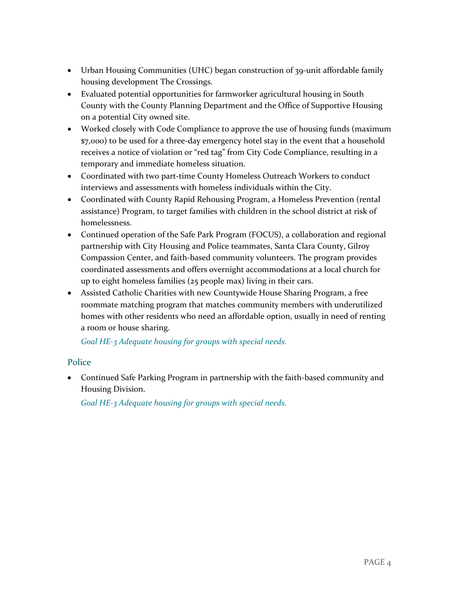- Urban Housing Communities (UHC) began construction of 39-unit affordable family housing development The Crossings.
- Evaluated potential opportunities for farmworker agricultural housing in South County with the County Planning Department and the Office of Supportive Housing on a potential City owned site.
- Worked closely with Code Compliance to approve the use of housing funds (maximum \$7,000) to be used for a three-day emergency hotel stay in the event that a household receives a notice of violation or "red tag" from City Code Compliance, resulting in a temporary and immediate homeless situation.
- Coordinated with two part-time County Homeless Outreach Workers to conduct interviews and assessments with homeless individuals within the City.
- Coordinated with County Rapid Rehousing Program, a Homeless Prevention (rental assistance) Program, to target families with children in the school district at risk of homelessness.
- Continued operation of the Safe Park Program (FOCUS), a collaboration and regional partnership with City Housing and Police teammates, Santa Clara County, Gilroy Compassion Center, and faith-based community volunteers. The program provides coordinated assessments and offers overnight accommodations at a local church for up to eight homeless families (25 people max) living in their cars.
- Assisted Catholic Charities with new Countywide House Sharing Program, a free roommate matching program that matches community members with underutilized homes with other residents who need an affordable option, usually in need of renting a room or house sharing.

*Goal HE-3 Adequate housing for groups with special needs.*

#### **Police**

• Continued Safe Parking Program in partnership with the faith-based community and Housing Division.

*Goal HE-3 Adequate housing for groups with special needs.*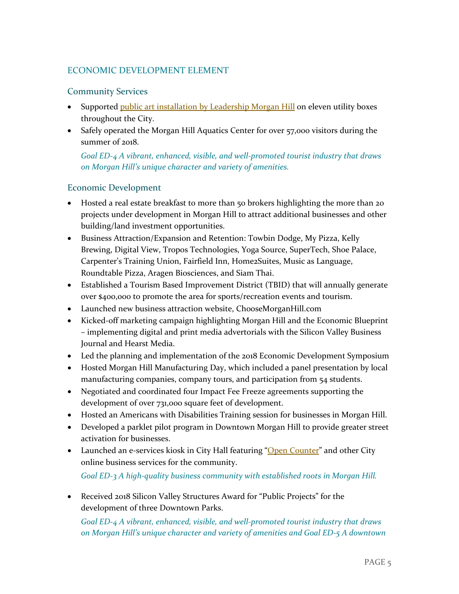# ECONOMIC DEVELOPMENT ELEMENT

#### Community Services

- Supported **public art installation by Leadership Morgan Hill** on eleven utility boxes throughout the City.
- Safely operated the Morgan Hill Aquatics Center for over 57,000 visitors during the summer of 2018.

*Goal ED-4 A vibrant, enhanced, visible, and well-promoted tourist industry that draws on Morgan Hill's unique character and variety of amenities.*

### Economic Development

- Hosted a real estate breakfast to more than 50 brokers highlighting the more than 20 projects under development in Morgan Hill to attract additional businesses and other building/land investment opportunities.
- Business Attraction/Expansion and Retention: Towbin Dodge, My Pizza, Kelly Brewing, Digital View, Tropos Technologies, Yoga Source, SuperTech, Shoe Palace, Carpenter's Training Union, Fairfield Inn, Home2Suites, Music as Language, Roundtable Pizza, Aragen Biosciences, and Siam Thai.
- Established a Tourism Based Improvement District (TBID) that will annually generate over \$400,000 to promote the area for sports/recreation events and tourism.
- Launched new business attraction website, ChooseMorganHill.com
- Kicked-off marketing campaign highlighting Morgan Hill and the Economic Blueprint – implementing digital and print media advertorials with the Silicon Valley Business Journal and Hearst Media.
- Led the planning and implementation of the 2018 Economic Development Symposium
- Hosted Morgan Hill Manufacturing Day, which included a panel presentation by local manufacturing companies, company tours, and participation from 54 students.
- Negotiated and coordinated four Impact Fee Freeze agreements supporting the development of over 731,000 square feet of development.
- Hosted an Americans with Disabilities Training session for businesses in Morgan Hill.
- Developed a parklet pilot program in Downtown Morgan Hill to provide greater street activation for businesses.
- Launched an e-services kiosk in City Hall featuring ["Open Counter"](https://openforbusiness.morgan-hill.ca.gov/) and other City online business services for the community. *Goal ED-3 A high-quality business community with established roots in Morgan Hill.*
- Received 2018 Silicon Valley Structures Award for "Public Projects" for the development of three Downtown Parks.

*Goal ED-4 A vibrant, enhanced, visible, and well-promoted tourist industry that draws on Morgan Hill's unique character and variety of amenities and Goal ED-5 A downtown*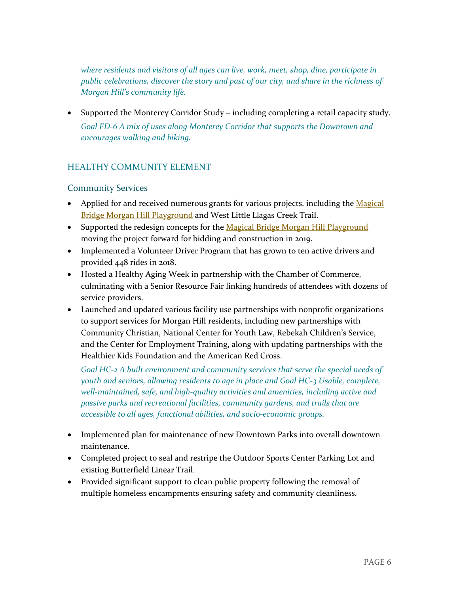*where residents and visitors of all ages can live, work, meet, shop, dine, participate in public celebrations, discover the story and past of our city, and share in the richness of Morgan Hill's community life.*

• Supported the Monterey Corridor Study – including completing a retail capacity study. *Goal ED-6 A mix of uses along Monterey Corridor that supports the Downtown and encourages walking and biking.*

# HEALTHY COMMUNITY ELEMENT

#### Community Services

- Applied for and received numerous grants for various projects, including the Magical [Bridge Morgan Hill Playground](http://www.morgan-hill.ca.gov/1643/Magical-Bridge-Morgan-Hill) and West Little Llagas Creek Trail.
- Supported the redesign concepts for the [Magical Bridge Morgan Hill Playground](http://www.morgan-hill.ca.gov/1643/Magical-Bridge-Morgan-Hill) moving the project forward for bidding and construction in 2019.
- Implemented a Volunteer Driver Program that has grown to ten active drivers and provided 448 rides in 2018.
- Hosted a Healthy Aging Week in partnership with the Chamber of Commerce, culminating with a Senior Resource Fair linking hundreds of attendees with dozens of service providers.
- Launched and updated various facility use partnerships with nonprofit organizations to support services for Morgan Hill residents, including new partnerships with Community Christian, National Center for Youth Law, Rebekah Children's Service, and the Center for Employment Training, along with updating partnerships with the Healthier Kids Foundation and the American Red Cross.

*Goal HC-2 A built environment and community services that serve the special needs of youth and seniors, allowing residents to age in place and Goal HC-3 Usable, complete, well-maintained, safe, and high-quality activities and amenities, including active and passive parks and recreational facilities, community gardens, and trails that are accessible to all ages, functional abilities, and socio-economic groups.*

- Implemented plan for maintenance of new Downtown Parks into overall downtown maintenance.
- Completed project to seal and restripe the Outdoor Sports Center Parking Lot and existing Butterfield Linear Trail.
- Provided significant support to clean public property following the removal of multiple homeless encampments ensuring safety and community cleanliness.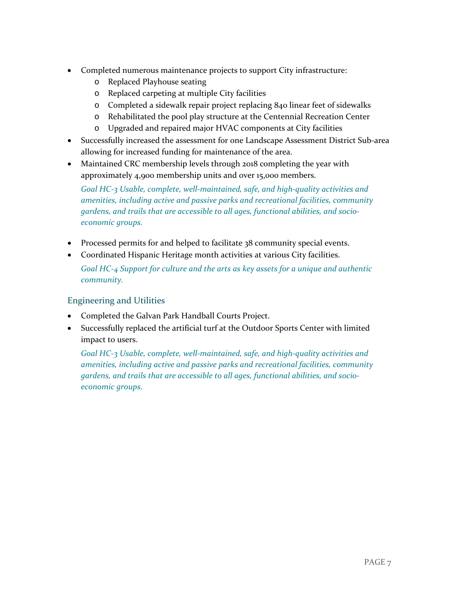- Completed numerous maintenance projects to support City infrastructure:
	- o Replaced Playhouse seating
	- o Replaced carpeting at multiple City facilities
	- o Completed a sidewalk repair project replacing 840 linear feet of sidewalks
	- o Rehabilitated the pool play structure at the Centennial Recreation Center
	- o Upgraded and repaired major HVAC components at City facilities
- Successfully increased the assessment for one Landscape Assessment District Sub-area allowing for increased funding for maintenance of the area.
- Maintained CRC membership levels through 2018 completing the year with approximately 4,900 membership units and over 15,000 members.

*Goal HC-3 Usable, complete, well-maintained, safe, and high-quality activities and amenities, including active and passive parks and recreational facilities, community gardens, and trails that are accessible to all ages, functional abilities, and socioeconomic groups.*

- Processed permits for and helped to facilitate 38 community special events.
- Coordinated Hispanic Heritage month activities at various City facilities.

*Goal HC-4 Support for culture and the arts as key assets for a unique and authentic community.*

#### Engineering and Utilities

- Completed the Galvan Park Handball Courts Project.
- Successfully replaced the artificial turf at the Outdoor Sports Center with limited impact to users.

*Goal HC-3 Usable, complete, well-maintained, safe, and high-quality activities and amenities, including active and passive parks and recreational facilities, community gardens, and trails that are accessible to all ages, functional abilities, and socioeconomic groups.*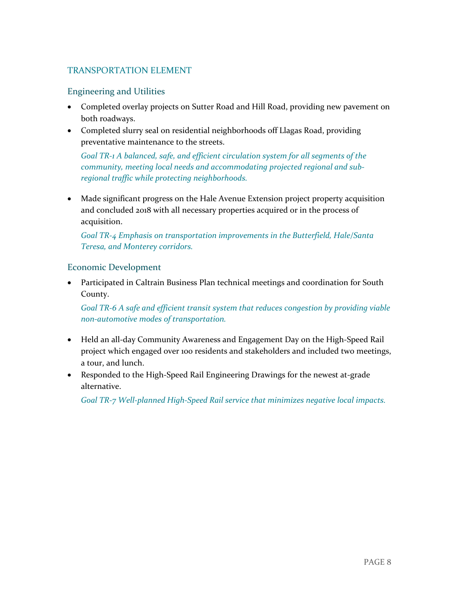## TRANSPORTATION ELEMENT

#### Engineering and Utilities

- Completed overlay projects on Sutter Road and Hill Road, providing new pavement on both roadways.
- Completed slurry seal on residential neighborhoods off Llagas Road, providing preventative maintenance to the streets.

*Goal TR-1 A balanced, safe, and efficient circulation system for all segments of the community, meeting local needs and accommodating projected regional and subregional traffic while protecting neighborhoods.*

• Made significant progress on the Hale Avenue Extension project property acquisition and concluded 2018 with all necessary properties acquired or in the process of acquisition.

*Goal TR-4 Emphasis on transportation improvements in the Butterfield, Hale/Santa Teresa, and Monterey corridors.*

#### Economic Development

• Participated in Caltrain Business Plan technical meetings and coordination for South County.

*Goal TR-6 A safe and efficient transit system that reduces congestion by providing viable non-automotive modes of transportation.*

- Held an all-day Community Awareness and Engagement Day on the High-Speed Rail project which engaged over 100 residents and stakeholders and included two meetings, a tour, and lunch.
- Responded to the High-Speed Rail Engineering Drawings for the newest at-grade alternative.

*Goal TR-7 Well-planned High-Speed Rail service that minimizes negative local impacts.*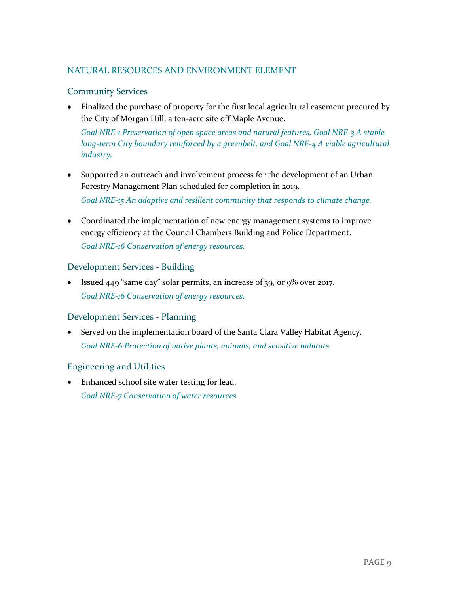### NATURAL RESOURCES AND ENVIRONMENT ELEMENT

#### Community Services

• Finalized the purchase of property for the first local agricultural easement procured by the City of Morgan Hill, a ten-acre site off Maple Avenue. *Goal NRE-1 Preservation of open space areas and natural features, Goal NRE-3 A stable,* 

*long-term City boundary reinforced by a greenbelt, and Goal NRE-4 A viable agricultural industry.*

- Supported an outreach and involvement process for the development of an Urban Forestry Management Plan scheduled for completion in 2019. *Goal NRE-15 An adaptive and resilient community that responds to climate change.*
- Coordinated the implementation of new energy management systems to improve energy efficiency at the Council Chambers Building and Police Department. *Goal NRE-16 Conservation of energy resources.*

#### Development Services - Building

• Issued 449 "same day" solar permits, an increase of 39, or 9% over 2017. *Goal NRE-16 Conservation of energy resources.*

#### Development Services - Planning

• Served on the implementation board of the Santa Clara Valley Habitat Agency. *Goal NRE-6 Protection of native plants, animals, and sensitive habitats.*

#### Engineering and Utilities

• Enhanced school site water testing for lead. *Goal NRE-7 Conservation of water resources.*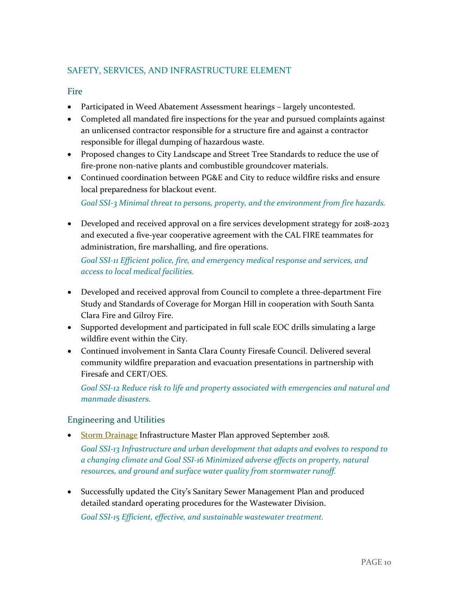# SAFETY, SERVICES, AND INFRASTRUCTURE ELEMENT

#### Fire

- Participated in Weed Abatement Assessment hearings largely uncontested.
- Completed all mandated fire inspections for the year and pursued complaints against an unlicensed contractor responsible for a structure fire and against a contractor responsible for illegal dumping of hazardous waste.
- Proposed changes to City Landscape and Street Tree Standards to reduce the use of fire-prone non-native plants and combustible groundcover materials.
- Continued coordination between PG&E and City to reduce wildfire risks and ensure local preparedness for blackout event.

*Goal SSI-3 Minimal threat to persons, property, and the environment from fire hazards.*

• Developed and received approval on a fire services development strategy for 2018-2023 and executed a five-year cooperative agreement with the CAL FIRE teammates for administration, fire marshalling, and fire operations.

*Goal SSI-11 Efficient police, fire, and emergency medical response and services, and access to local medical facilities.*

- Developed and received approval from Council to complete a three-department Fire Study and Standards of Coverage for Morgan Hill in cooperation with South Santa Clara Fire and Gilroy Fire.
- Supported development and participated in full scale EOC drills simulating a large wildfire event within the City.
- Continued involvement in Santa Clara County Firesafe Council. Delivered several community wildfire preparation and evacuation presentations in partnership with Firesafe and CERT/OES.

*Goal SSI-12 Reduce risk to life and property associated with emergencies and natural and manmade disasters.*

#### Engineering and Utilities

• [Storm Drainage](http://www.morgan-hill.ca.gov/DocumentCenter/View/23599/Storm-Drainage-Master-Plan-weblink-version?bidId=) Infrastructure Master Plan approved September 2018.

*Goal SSI-13 Infrastructure and urban development that adapts and evolves to respond to a changing climate and Goal SSI-16 Minimized adverse effects on property, natural resources, and ground and surface water quality from stormwater runoff.*

• Successfully updated the City's Sanitary Sewer Management Plan and produced detailed standard operating procedures for the Wastewater Division. *Goal SSI-15 Efficient, effective, and sustainable wastewater treatment.*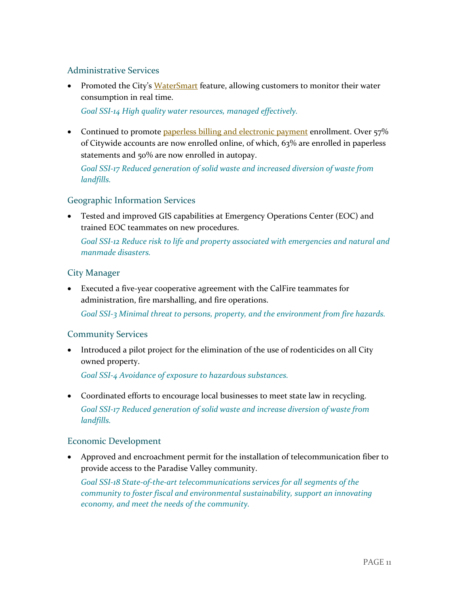#### Administrative Services

• Promoted the City's [WaterSmart](http://www.morganhill.ca.gov/1656/WaterSmart-Program) feature, allowing customers to monitor their water consumption in real time.

*Goal SSI-14 High quality water resources, managed effectively.*

• Continued to promot[e paperless billing and electronic payment](https://www.onlinebiller.com/morganhill/) enrollment. Over 57% of Citywide accounts are now enrolled online, of which, 63% are enrolled in paperless statements and 50% are now enrolled in autopay.

*Goal SSI-17 Reduced generation of solid waste and increased diversion of waste from landfills.*

#### Geographic Information Services

• Tested and improved GIS capabilities at Emergency Operations Center (EOC) and trained EOC teammates on new procedures.

*Goal SSI-12 Reduce risk to life and property associated with emergencies and natural and manmade disasters.*

#### City Manager

• Executed a five-year cooperative agreement with the CalFire teammates for administration, fire marshalling, and fire operations.

*Goal SSI-3 Minimal threat to persons, property, and the environment from fire hazards.*

#### Community Services

• Introduced a pilot project for the elimination of the use of rodenticides on all City owned property.

*Goal SSI-4 Avoidance of exposure to hazardous substances.*

• Coordinated efforts to encourage local businesses to meet state law in recycling. *Goal SSI-17 Reduced generation of solid waste and increase diversion of waste from landfills.*

#### Economic Development

• Approved and encroachment permit for the installation of telecommunication fiber to provide access to the Paradise Valley community.

*Goal SSI-18 State-of-the-art telecommunications services for all segments of the community to foster fiscal and environmental sustainability, support an innovating economy, and meet the needs of the community.*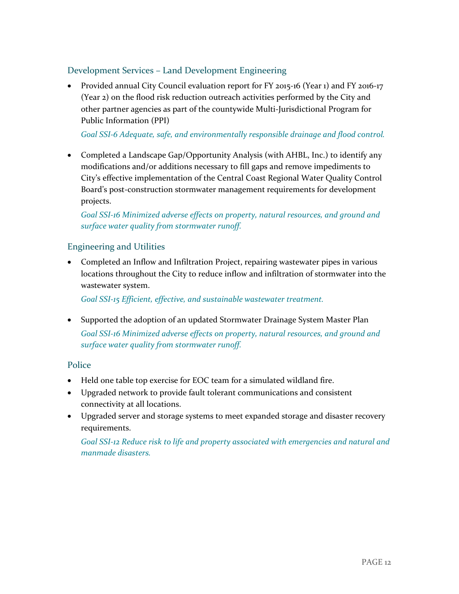# Development Services – Land Development Engineering

• Provided annual City Council evaluation report for FY 2015-16 (Year 1) and FY 2016-17 (Year 2) on the flood risk reduction outreach activities performed by the City and other partner agencies as part of the countywide Multi-Jurisdictional Program for Public Information (PPI)

#### *Goal SSI-6 Adequate, safe, and environmentally responsible drainage and flood control.*

• Completed a Landscape Gap/Opportunity Analysis (with AHBL, Inc.) to identify any modifications and/or additions necessary to fill gaps and remove impediments to City's effective implementation of the Central Coast Regional Water Quality Control Board's post-construction stormwater management requirements for development projects.

*Goal SSI-16 Minimized adverse effects on property, natural resources, and ground and surface water quality from stormwater runoff.*

### Engineering and Utilities

• Completed an Inflow and Infiltration Project, repairing wastewater pipes in various locations throughout the City to reduce inflow and infiltration of stormwater into the wastewater system.

*Goal SSI-15 Efficient, effective, and sustainable wastewater treatment.*

• Supported the adoption of an updated Stormwater Drainage System Master Plan *Goal SSI-16 Minimized adverse effects on property, natural resources, and ground and surface water quality from stormwater runoff.*

#### **Police**

- Held one table top exercise for EOC team for a simulated wildland fire.
- Upgraded network to provide fault tolerant communications and consistent connectivity at all locations.
- Upgraded server and storage systems to meet expanded storage and disaster recovery requirements.

*Goal SSI-12 Reduce risk to life and property associated with emergencies and natural and manmade disasters.*